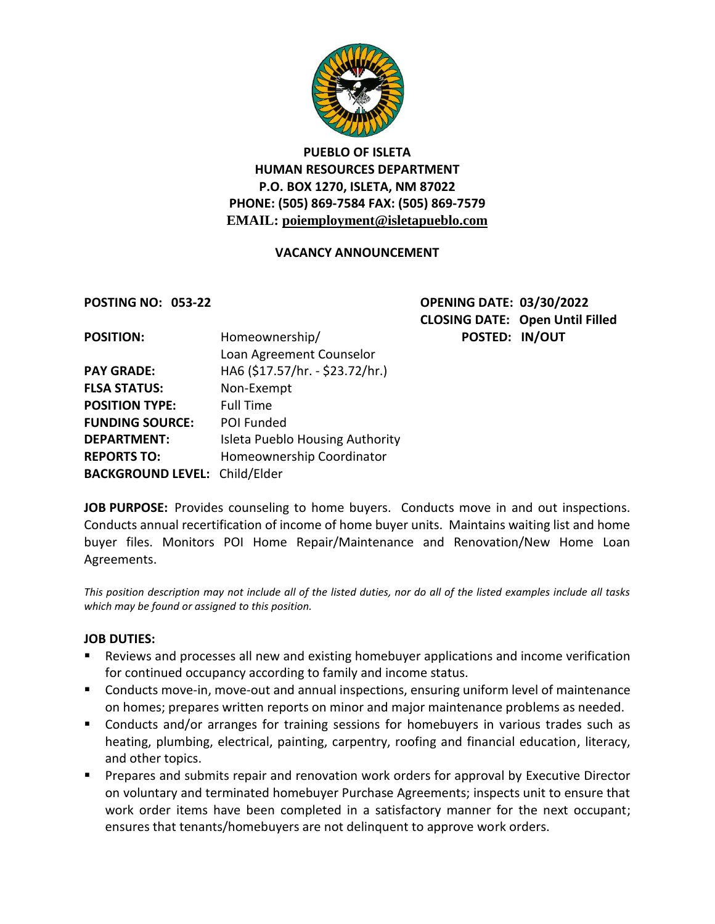

# **PUEBLO OF ISLETA HUMAN RESOURCES DEPARTMENT P.O. BOX 1270, ISLETA, NM 87022 PHONE: (505) 869-7584 FAX: (505) 869-7579 EMAIL: poiemployment@isletapueblo.com**

#### **VACANCY ANNOUNCEMENT**

**POSTING NO: 053-22 OPENING DATE: 03/30/2022 CLOSING DATE: Open Until Filled POSTED: IN/OUT** 

| <b>POSITION:</b>                     | Homeownership/                  |
|--------------------------------------|---------------------------------|
|                                      | Loan Agreement Counselor        |
| <b>PAY GRADE:</b>                    | HA6 (\$17.57/hr. - \$23.72/hr.) |
| <b>FLSA STATUS:</b>                  | Non-Exempt                      |
| <b>POSITION TYPE:</b>                | <b>Full Time</b>                |
| <b>FUNDING SOURCE:</b>               | <b>POI Funded</b>               |
| <b>DEPARTMENT:</b>                   | Isleta Pueblo Housing Authority |
| <b>REPORTS TO:</b>                   | Homeownership Coordinator       |
| <b>BACKGROUND LEVEL: Child/Elder</b> |                                 |

**JOB PURPOSE:** Provides counseling to home buyers. Conducts move in and out inspections. Conducts annual recertification of income of home buyer units. Maintains waiting list and home buyer files. Monitors POI Home Repair/Maintenance and Renovation/New Home Loan Agreements.

*This position description may not include all of the listed duties, nor do all of the listed examples include all tasks which may be found or assigned to this position.*

#### **JOB DUTIES:**

- Reviews and processes all new and existing homebuyer applications and income verification for continued occupancy according to family and income status.
- **Conducts move-in, move-out and annual inspections, ensuring uniform level of maintenance** on homes; prepares written reports on minor and major maintenance problems as needed.
- **Conducts and/or arranges for training sessions for homebuyers in various trades such as** heating, plumbing, electrical, painting, carpentry, roofing and financial education, literacy, and other topics.
- **Prepares and submits repair and renovation work orders for approval by Executive Director** on voluntary and terminated homebuyer Purchase Agreements; inspects unit to ensure that work order items have been completed in a satisfactory manner for the next occupant; ensures that tenants/homebuyers are not delinquent to approve work orders.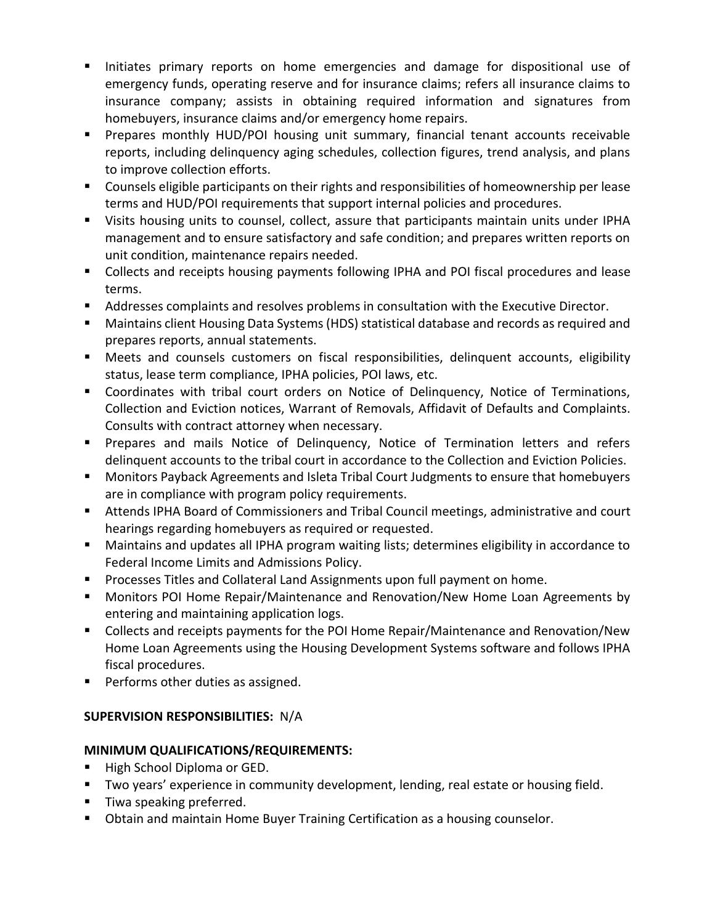- Initiates primary reports on home emergencies and damage for dispositional use of emergency funds, operating reserve and for insurance claims; refers all insurance claims to insurance company; assists in obtaining required information and signatures from homebuyers, insurance claims and/or emergency home repairs.
- **Prepares monthly HUD/POI housing unit summary, financial tenant accounts receivable** reports, including delinquency aging schedules, collection figures, trend analysis, and plans to improve collection efforts.
- **•** Counsels eligible participants on their rights and responsibilities of homeownership per lease terms and HUD/POI requirements that support internal policies and procedures.
- Visits housing units to counsel, collect, assure that participants maintain units under IPHA management and to ensure satisfactory and safe condition; and prepares written reports on unit condition, maintenance repairs needed.
- Collects and receipts housing payments following IPHA and POI fiscal procedures and lease terms.
- Addresses complaints and resolves problems in consultation with the Executive Director.
- Maintains client Housing Data Systems (HDS) statistical database and records as required and prepares reports, annual statements.
- Meets and counsels customers on fiscal responsibilities, delinquent accounts, eligibility status, lease term compliance, IPHA policies, POI laws, etc.
- Coordinates with tribal court orders on Notice of Delinquency, Notice of Terminations, Collection and Eviction notices, Warrant of Removals, Affidavit of Defaults and Complaints. Consults with contract attorney when necessary.
- **Prepares and mails Notice of Delinquency, Notice of Termination letters and refers** delinquent accounts to the tribal court in accordance to the Collection and Eviction Policies.
- **Monitors Payback Agreements and Isleta Tribal Court Judgments to ensure that homebuyers** are in compliance with program policy requirements.
- Attends IPHA Board of Commissioners and Tribal Council meetings, administrative and court hearings regarding homebuyers as required or requested.
- Maintains and updates all IPHA program waiting lists; determines eligibility in accordance to Federal Income Limits and Admissions Policy.
- **Processes Titles and Collateral Land Assignments upon full payment on home.**
- **Monitors POI Home Repair/Maintenance and Renovation/New Home Loan Agreements by** entering and maintaining application logs.
- Collects and receipts payments for the POI Home Repair/Maintenance and Renovation/New Home Loan Agreements using the Housing Development Systems software and follows IPHA fiscal procedures.
- **Performs other duties as assigned.**

# **SUPERVISION RESPONSIBILITIES:** N/A

## **MINIMUM QUALIFICATIONS/REQUIREMENTS:**

- High School Diploma or GED.
- **Two years' experience in community development, lending, real estate or housing field.**
- **Tiwa speaking preferred.**
- **D** Obtain and maintain Home Buyer Training Certification as a housing counselor.